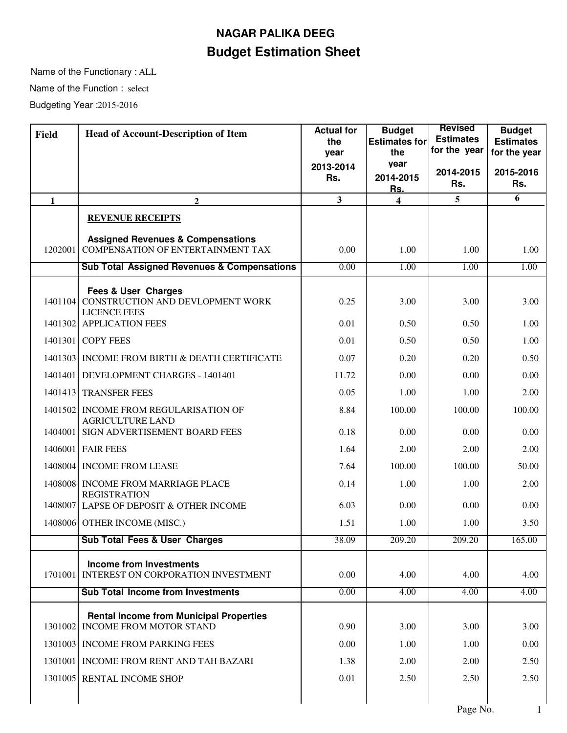## **Budget Estimation Sheet NAGAR PALIKA DEEG**

Name of the Functionary : ALL Name of the Function : select Budgeting Year : 2015-2016

| <b>Field</b> | <b>Head of Account-Description of Item</b>                                               | <b>Actual for</b><br>the | <b>Budget</b><br><b>Estimates for</b> | <b>Revised</b><br><b>Estimates</b> | <b>Budget</b><br><b>Estimates</b> |
|--------------|------------------------------------------------------------------------------------------|--------------------------|---------------------------------------|------------------------------------|-----------------------------------|
|              |                                                                                          | year                     | the                                   | for the year                       | for the year                      |
|              |                                                                                          | 2013-2014                | vear                                  | 2014-2015                          | 2015-2016                         |
|              |                                                                                          | Rs.                      | 2014-2015<br>Rs.                      | Rs.                                | Rs.                               |
| $\mathbf{1}$ | $\mathbf{2}$                                                                             | $\mathbf{3}$             | $\overline{\mathbf{4}}$               | 5                                  | 6                                 |
|              | <b>REVENUE RECEIPTS</b>                                                                  |                          |                                       |                                    |                                   |
| 1202001      | <b>Assigned Revenues &amp; Compensations</b><br><b>COMPENSATION OF ENTERTAINMENT TAX</b> | 0.00                     | 1.00                                  | 1.00                               | 1.00                              |
|              | <b>Sub Total Assigned Revenues &amp; Compensations</b>                                   | 0.00                     | 1.00                                  | 1.00                               | 1.00                              |
|              | <b>Fees &amp; User Charges</b>                                                           |                          |                                       |                                    |                                   |
| 1401104      | CONSTRUCTION AND DEVLOPMENT WORK<br><b>LICENCE FEES</b>                                  | 0.25                     | 3.00                                  | 3.00                               | 3.00                              |
|              | 1401302 APPLICATION FEES                                                                 | 0.01                     | 0.50                                  | 0.50                               | 1.00                              |
|              | 1401301 COPY FEES                                                                        | 0.01                     | 0.50                                  | 0.50                               | 1.00                              |
| 1401303      | INCOME FROM BIRTH & DEATH CERTIFICATE                                                    | 0.07                     | 0.20                                  | 0.20                               | 0.50                              |
|              | 1401401 DEVELOPMENT CHARGES - 1401401                                                    | 11.72                    | 0.00                                  | 0.00                               | 0.00                              |
|              | 1401413 TRANSFER FEES                                                                    | 0.05                     | 1.00                                  | 1.00                               | 2.00                              |
|              | 1401502 INCOME FROM REGULARISATION OF<br><b>AGRICULTURE LAND</b>                         | 8.84                     | 100.00                                | 100.00                             | 100.00                            |
| 1404001      | SIGN ADVERTISEMENT BOARD FEES                                                            | 0.18                     | 0.00                                  | 0.00                               | 0.00                              |
|              | 1406001 FAIR FEES                                                                        | 1.64                     | 2.00                                  | 2.00                               | 2.00                              |
|              | 1408004 INCOME FROM LEASE                                                                | 7.64                     | 100.00                                | 100.00                             | 50.00                             |
|              | 1408008 INCOME FROM MARRIAGE PLACE<br><b>REGISTRATION</b>                                | 0.14                     | 1.00                                  | 1.00                               | 2.00                              |
|              | 1408007 LAPSE OF DEPOSIT & OTHER INCOME                                                  | 6.03                     | 0.00                                  | 0.00                               | 0.00                              |
|              | 1408006 OTHER INCOME (MISC.)                                                             | 1.51                     | 1.00                                  | 1.00                               | 3.50                              |
|              | <b>Sub Total Fees &amp; User Charges</b>                                                 | 38.09                    | 209.20                                | 209.20                             | 165.00                            |
| 1701001      | <b>Income from Investments</b><br>INTEREST ON CORPORATION INVESTMENT                     | 0.00                     | 4.00                                  | 4.00                               | 4.00                              |
|              | <b>Sub Total Income from Investments</b>                                                 | 0.00                     | 4.00                                  | 4.00                               | 4.00                              |
|              |                                                                                          |                          |                                       |                                    |                                   |
| 1301002      | <b>Rental Income from Municipal Properties</b><br><b>INCOME FROM MOTOR STAND</b>         | 0.90                     | 3.00                                  | 3.00                               | 3.00                              |
|              | 1301003 INCOME FROM PARKING FEES                                                         | 0.00                     | 1.00                                  | 1.00                               | 0.00                              |
|              | 1301001 INCOME FROM RENT AND TAH BAZARI                                                  | 1.38                     | 2.00                                  | 2.00                               | 2.50                              |
|              | 1301005 RENTAL INCOME SHOP                                                               | 0.01                     | 2.50                                  | 2.50                               | 2.50                              |
|              |                                                                                          |                          |                                       |                                    |                                   |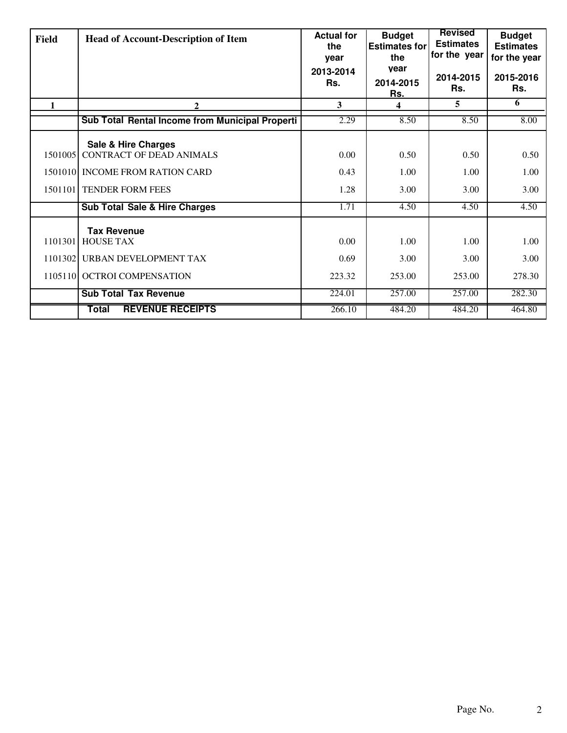| <b>Field</b> | <b>Head of Account-Description of Item</b>      | <b>Actual for</b><br>the<br>year | <b>Budget</b><br><b>Estimates for</b><br>the | <b>Revised</b><br><b>Estimates</b><br>for the year | <b>Budget</b><br><b>Estimates</b><br>for the year |
|--------------|-------------------------------------------------|----------------------------------|----------------------------------------------|----------------------------------------------------|---------------------------------------------------|
|              |                                                 | 2013-2014<br>Rs.                 | vear<br>2014-2015<br><u>Rs.</u>              | 2014-2015<br>Rs.                                   | 2015-2016<br>Rs.                                  |
| 1            | 2                                               | 3                                | 4                                            | 5                                                  | 6                                                 |
|              | Sub Total Rental Income from Municipal Properti | 2.29                             | 8.50                                         | 8.50                                               | 8.00                                              |
|              | <b>Sale &amp; Hire Charges</b>                  |                                  |                                              |                                                    |                                                   |
| 1501005      | <b>CONTRACT OF DEAD ANIMALS</b>                 | 0.00                             | 0.50                                         | 0.50                                               | 0.50                                              |
|              | 1501010 INCOME FROM RATION CARD                 | 0.43                             | 1.00                                         | 1.00                                               | 1.00                                              |
|              | 1501101 TENDER FORM FEES                        | 1.28                             | 3.00                                         | 3.00                                               | 3.00                                              |
|              | <b>Sub Total Sale &amp; Hire Charges</b>        | 1.71                             | 4.50                                         | 4.50                                               | 4.50                                              |
|              | <b>Tax Revenue</b>                              |                                  |                                              |                                                    |                                                   |
| 1101301      | <b>HOUSE TAX</b>                                | 0.00                             | 1.00                                         | 1.00                                               | 1.00                                              |
| 1101302      | URBAN DEVELOPMENT TAX                           | 0.69                             | 3.00                                         | 3.00                                               | 3.00                                              |
|              | 1105110 OCTROI COMPENSATION                     | 223.32                           | 253.00                                       | 253.00                                             | 278.30                                            |
|              | <b>Sub Total Tax Revenue</b>                    | 224.01                           | 257.00                                       | 257.00                                             | 282.30                                            |
|              | <b>REVENUE RECEIPTS</b><br>Total                | 266.10                           | 484.20                                       | 484.20                                             | 464.80                                            |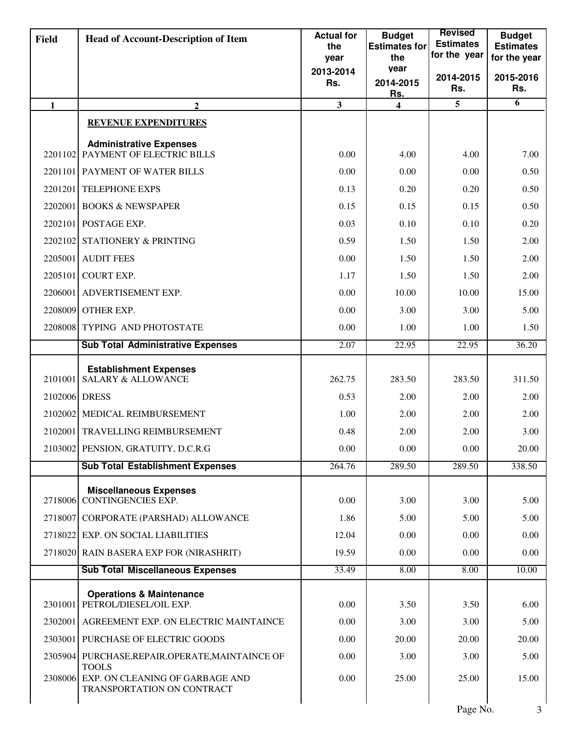| <b>Field</b>  | <b>Head of Account-Description of Item</b>                                    | <b>Actual for</b><br>the | <b>Budget</b><br><b>Estimates for</b> | <b>Revised</b><br><b>Estimates</b> | <b>Budget</b><br><b>Estimates</b> |
|---------------|-------------------------------------------------------------------------------|--------------------------|---------------------------------------|------------------------------------|-----------------------------------|
|               |                                                                               | year                     | the                                   | for the year                       | for the year                      |
|               |                                                                               | 2013-2014<br>Rs.         | vear<br>2014-2015                     | 2014-2015                          | 2015-2016                         |
|               |                                                                               |                          | <u>Rs.</u>                            | Rs.                                | Rs.                               |
| $\mathbf{1}$  | $\overline{2}$                                                                | 3                        | $\overline{\mathbf{4}}$               | 5                                  | 6                                 |
|               | <b>REVENUE EXPENDITURES</b>                                                   |                          |                                       |                                    |                                   |
|               | <b>Administrative Expenses</b><br>2201102 PAYMENT OF ELECTRIC BILLS           | 0.00                     | 4.00                                  | 4.00                               | 7.00                              |
|               | 2201101 PAYMENT OF WATER BILLS                                                | 0.00                     | 0.00                                  | 0.00                               | 0.50                              |
| 2201201       | <b>TELEPHONE EXPS</b>                                                         | 0.13                     | 0.20                                  | 0.20                               | 0.50                              |
| 2202001       | <b>BOOKS &amp; NEWSPAPER</b>                                                  | 0.15                     | 0.15                                  | 0.15                               | 0.50                              |
|               | 2202101 POSTAGE EXP.                                                          | 0.03                     | 0.10                                  | 0.10                               | 0.20                              |
| 2202102       | <b>STATIONERY &amp; PRINTING</b>                                              | 0.59                     | 1.50                                  | 1.50                               | 2.00                              |
|               | 2205001 AUDIT FEES                                                            | 0.00                     | 1.50                                  | 1.50                               | 2.00                              |
| 2205101       | <b>COURT EXP.</b>                                                             | 1.17                     | 1.50                                  | 1.50                               | 2.00                              |
|               | 2206001 ADVERTISEMENT EXP.                                                    | 0.00                     | 10.00                                 | 10.00                              | 15.00                             |
|               | 2208009 OTHER EXP.                                                            | 0.00                     | 3.00                                  | 3.00                               | 5.00                              |
| 2208008       | TYPING AND PHOTOSTATE                                                         | 0.00                     | 1.00                                  | 1.00                               | 1.50                              |
|               | <b>Sub Total Administrative Expenses</b>                                      | 2.07                     | 22.95                                 | 22.95                              | 36.20                             |
| 2101001       | <b>Establishment Expenses</b><br><b>SALARY &amp; ALLOWANCE</b>                | 262.75                   | 283.50                                | 283.50                             | 311.50                            |
| 2102006 DRESS |                                                                               | 0.53                     | 2.00                                  | 2.00                               | 2.00                              |
| 2102002       | MEDICAL REIMBURSEMENT                                                         | 1.00                     | 2.00                                  | 2.00                               | 2.00                              |
|               | 2102001 TRAVELLING REIMBURSEMENT                                              | 0.48                     | 2.00                                  | 2.00                               | 3.00                              |
|               | 2103002 PENSION, GRATUITY, D.C.R.G                                            | 0.00                     | 0.00                                  | 0.00                               | 20.00                             |
|               | <b>Sub Total Establishment Expenses</b>                                       | 264.76                   | 289.50                                | 289.50                             | 338.50                            |
|               | <b>Miscellaneous Expenses</b>                                                 |                          |                                       |                                    |                                   |
| 2718006       | <b>CONTINGENCIES EXP.</b>                                                     | 0.00                     | 3.00                                  | 3.00                               | 5.00                              |
|               | 2718007 CORPORATE (PARSHAD) ALLOWANCE                                         | 1.86                     | 5.00                                  | 5.00                               | 5.00                              |
|               | 2718022 EXP. ON SOCIAL LIABILITIES                                            | 12.04                    | 0.00                                  | 0.00                               | 0.00                              |
|               | 2718020 RAIN BASERA EXP FOR (NIRASHRIT)                                       | 19.59                    | 0.00                                  | 0.00                               | 0.00                              |
|               | <b>Sub Total Miscellaneous Expenses</b>                                       | 33.49                    | 8.00                                  | 8.00                               | 10.00                             |
|               | <b>Operations &amp; Maintenance</b><br>2301001 PETROL/DIESEL/OIL EXP.         | 0.00                     | 3.50                                  | 3.50                               | 6.00                              |
|               | 2302001 AGREEMENT EXP. ON ELECTRIC MAINTAINCE                                 | 0.00                     | 3.00                                  | 3.00                               | 5.00                              |
|               | 2303001 PURCHASE OF ELECTRIC GOODS                                            | 0.00                     | 20.00                                 | 20.00                              | 20.00                             |
|               | 2305904 PURCHASE, REPAIR, OPERATE, MAINTAINCE OF                              | 0.00                     | 3.00                                  | 3.00                               | 5.00                              |
| 2308006       | <b>TOOLS</b><br>EXP. ON CLEANING OF GARBAGE AND<br>TRANSPORTATION ON CONTRACT | 0.00                     | 25.00                                 | 25.00                              | 15.00                             |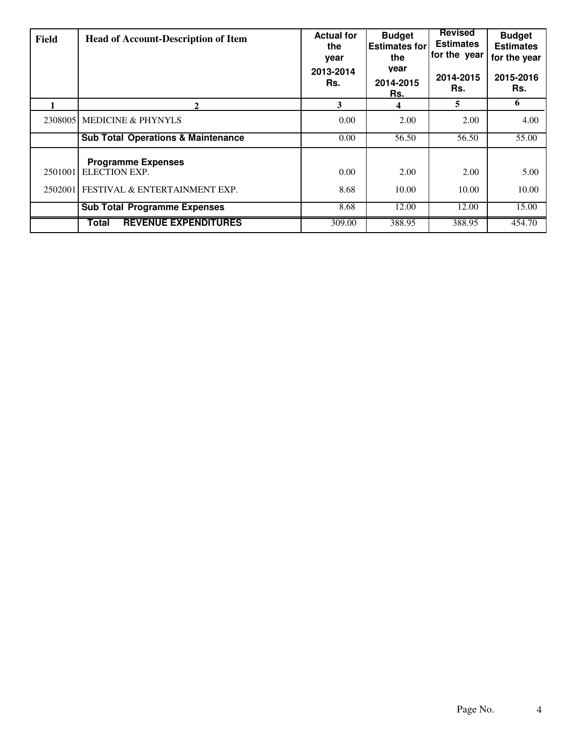| Field   | <b>Head of Account-Description of Item</b>                                          | <b>Actual for</b><br>the<br>year<br>2013-2014<br>Rs. | <b>Budget</b><br><b>Estimates for</b><br>the<br>vear<br>2014-2015<br>Rs. | <b>Revised</b><br><b>Estimates</b><br>for the year<br>2014-2015<br>Rs. | <b>Budget</b><br><b>Estimates</b><br>for the year<br>2015-2016<br>Rs. |
|---------|-------------------------------------------------------------------------------------|------------------------------------------------------|--------------------------------------------------------------------------|------------------------------------------------------------------------|-----------------------------------------------------------------------|
|         | 2                                                                                   | 3                                                    | Δ                                                                        | 5                                                                      | 6                                                                     |
|         | 2308005 MEDICINE & PHYNYLS                                                          | 0.00                                                 | 2.00                                                                     | 2.00                                                                   | 4.00                                                                  |
|         | <b>Sub Total Operations &amp; Maintenance</b>                                       | 0.00                                                 | 56.50                                                                    | 56.50                                                                  | 55.00                                                                 |
| 2501001 | <b>Programme Expenses</b><br>ELECTION EXP.<br>2502001 FESTIVAL & ENTERTAINMENT EXP. | 0.00<br>8.68                                         | 2.00<br>10.00                                                            | 2.00<br>10.00                                                          | 5.00<br>10.00                                                         |
|         | <b>Sub Total Programme Expenses</b>                                                 | 8.68                                                 | 12.00                                                                    | 12.00                                                                  | 15.00                                                                 |
|         | <b>REVENUE EXPENDITURES</b><br>Total                                                | 309.00                                               | 388.95                                                                   | 388.95                                                                 | 454.70                                                                |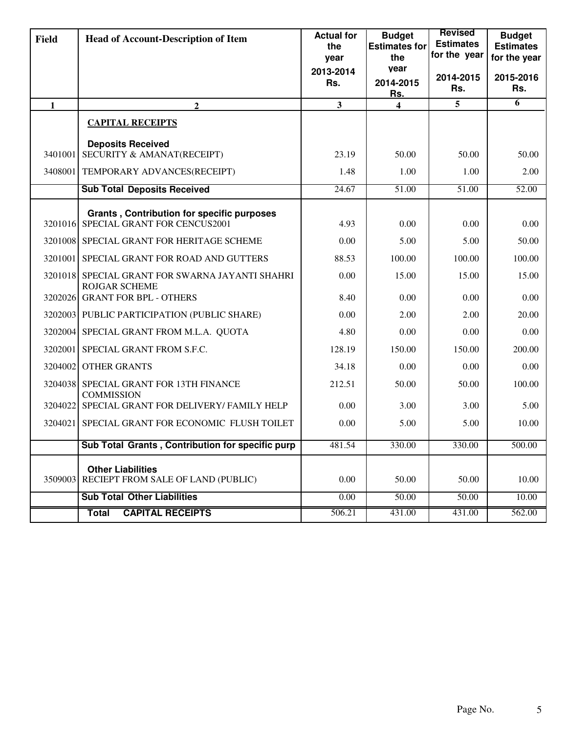| <b>Field</b> | <b>Head of Account-Description of Item</b>                                        | <b>Actual for</b><br>the<br>year | <b>Budget</b><br><b>Estimates for</b><br>the | <b>Revised</b><br><b>Estimates</b><br>for the year | <b>Budget</b><br><b>Estimates</b><br>for the year |
|--------------|-----------------------------------------------------------------------------------|----------------------------------|----------------------------------------------|----------------------------------------------------|---------------------------------------------------|
|              |                                                                                   | 2013-2014                        | vear                                         |                                                    |                                                   |
|              |                                                                                   | Rs.                              | 2014-2015<br>Rs.                             | 2014-2015<br>Rs.                                   | 2015-2016<br>Rs.                                  |
| $\mathbf{1}$ | $\overline{2}$                                                                    | 3                                | $\overline{\mathbf{4}}$                      | 5                                                  | 6                                                 |
|              | <b>CAPITAL RECEIPTS</b>                                                           |                                  |                                              |                                                    |                                                   |
|              | <b>Deposits Received</b><br>3401001 SECURITY & AMANAT(RECEIPT)                    | 23.19                            | 50.00                                        | 50.00                                              | 50.00                                             |
|              | 3408001 TEMPORARY ADVANCES(RECEIPT)                                               | 1.48                             | 1.00                                         | 1.00                                               | 2.00                                              |
|              | <b>Sub Total Deposits Received</b>                                                | 24.67                            | 51.00                                        | 51.00                                              | 52.00                                             |
| 3201016      | <b>Grants, Contribution for specific purposes</b><br>SPECIAL GRANT FOR CENCUS2001 | 4.93                             | 0.00                                         | 0.00                                               | 0.00                                              |
|              | 3201008 SPECIAL GRANT FOR HERITAGE SCHEME                                         | 0.00                             | 5.00                                         | 5.00                                               | 50.00                                             |
|              | 3201001 SPECIAL GRANT FOR ROAD AND GUTTERS                                        | 88.53                            | 100.00                                       | 100.00                                             | 100.00                                            |
|              | 3201018 SPECIAL GRANT FOR SWARNA JAYANTI SHAHRI<br><b>ROJGAR SCHEME</b>           | 0.00                             | 15.00                                        | 15.00                                              | 15.00                                             |
| 3202026      | <b>GRANT FOR BPL - OTHERS</b>                                                     | 8.40                             | 0.00                                         | 0.00                                               | 0.00                                              |
|              | 3202003 PUBLIC PARTICIPATION (PUBLIC SHARE)                                       | 0.00                             | 2.00                                         | 2.00                                               | 20.00                                             |
|              | 3202004 SPECIAL GRANT FROM M.L.A. QUOTA                                           | 4.80                             | 0.00                                         | 0.00                                               | 0.00                                              |
|              | 3202001 SPECIAL GRANT FROM S.F.C.                                                 | 128.19                           | 150.00                                       | 150.00                                             | 200.00                                            |
|              | 3204002 OTHER GRANTS                                                              | 34.18                            | 0.00                                         | 0.00                                               | 0.00                                              |
| 3204038      | SPECIAL GRANT FOR 13TH FINANCE<br><b>COMMISSION</b>                               | 212.51                           | 50.00                                        | 50.00                                              | 100.00                                            |
| 3204022      | SPECIAL GRANT FOR DELIVERY/ FAMILY HELP                                           | 0.00                             | 3.00                                         | 3.00                                               | 5.00                                              |
| 3204021      | SPECIAL GRANT FOR ECONOMIC FLUSH TOILET                                           | 0.00                             | 5.00                                         | 5.00                                               | 10.00                                             |
|              | Sub Total Grants, Contribution for specific purp                                  | 481.54                           | 330.00                                       | 330.00                                             | 500.00                                            |
|              | <b>Other Liabilities</b>                                                          |                                  |                                              |                                                    |                                                   |
| 3509003      | RECIEPT FROM SALE OF LAND (PUBLIC)                                                | 0.00                             | 50.00                                        | 50.00                                              | 10.00                                             |
|              | <b>Sub Total Other Liabilities</b>                                                | 0.00                             | 50.00                                        | 50.00                                              | 10.00                                             |
|              | <b>CAPITAL RECEIPTS</b><br><b>Total</b>                                           | 506.21                           | 431.00                                       | 431.00                                             | 562.00                                            |